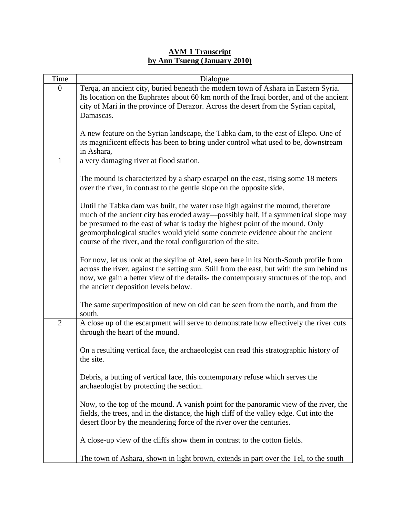## **AVM 1 Transcript by Ann Tsueng (January 2010)**

| Time           | Dialogue                                                                                   |
|----------------|--------------------------------------------------------------------------------------------|
| $\overline{0}$ | Terqa, an ancient city, buried beneath the modern town of Ashara in Eastern Syria.         |
|                | Its location on the Euphrates about 60 km north of the Iraqi border, and of the ancient    |
|                | city of Mari in the province of Derazor. Across the desert from the Syrian capital,        |
|                | Damascas.                                                                                  |
|                |                                                                                            |
|                | A new feature on the Syrian landscape, the Tabka dam, to the east of Elepo. One of         |
|                | its magnificent effects has been to bring under control what used to be, downstream        |
|                | in Ashara,                                                                                 |
| $\mathbf{1}$   | a very damaging river at flood station.                                                    |
|                |                                                                                            |
|                | The mound is characterized by a sharp escarpel on the east, rising some 18 meters          |
|                | over the river, in contrast to the gentle slope on the opposite side.                      |
|                |                                                                                            |
|                |                                                                                            |
|                | Until the Tabka dam was built, the water rose high against the mound, therefore            |
|                | much of the ancient city has eroded away—possibly half, if a symmetrical slope may         |
|                | be presumed to the east of what is today the highest point of the mound. Only              |
|                | geomorphological studies would yield some concrete evidence about the ancient              |
|                | course of the river, and the total configuration of the site.                              |
|                |                                                                                            |
|                | For now, let us look at the skyline of Atel, seen here in its North-South profile from     |
|                | across the river, against the setting sun. Still from the east, but with the sun behind us |
|                | now, we gain a better view of the details- the contemporary structures of the top, and     |
|                | the ancient deposition levels below.                                                       |
|                |                                                                                            |
|                | The same superimposition of new on old can be seen from the north, and from the            |
|                | south.                                                                                     |
| $\overline{2}$ | A close up of the escarpment will serve to demonstrate how effectively the river cuts      |
|                | through the heart of the mound.                                                            |
|                |                                                                                            |
|                | On a resulting vertical face, the archaeologist can read this stratographic history of     |
|                | the site.                                                                                  |
|                |                                                                                            |
|                | Debris, a butting of vertical face, this contemporary refuse which serves the              |
|                | archaeologist by protecting the section.                                                   |
|                |                                                                                            |
|                | Now, to the top of the mound. A vanish point for the panoramic view of the river, the      |
|                | fields, the trees, and in the distance, the high cliff of the valley edge. Cut into the    |
|                | desert floor by the meandering force of the river over the centuries.                      |
|                |                                                                                            |
|                | A close-up view of the cliffs show them in contrast to the cotton fields.                  |
|                |                                                                                            |
|                | The town of Ashara, shown in light brown, extends in part over the Tel, to the south       |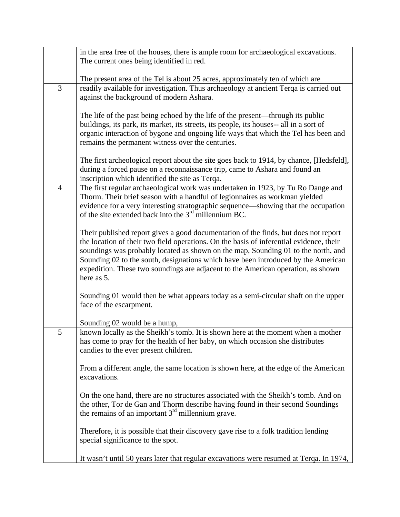|   | in the area free of the houses, there is ample room for archaeological excavations.     |
|---|-----------------------------------------------------------------------------------------|
|   | The current ones being identified in red.                                               |
|   |                                                                                         |
|   | The present area of the Tel is about 25 acres, approximately ten of which are           |
| 3 | readily available for investigation. Thus archaeology at ancient Terqa is carried out   |
|   | against the background of modern Ashara.                                                |
|   |                                                                                         |
|   | The life of the past being echoed by the life of the present-through its public         |
|   | buildings, its park, its market, its streets, its people, its houses-- all in a sort of |
|   | organic interaction of bygone and ongoing life ways that which the Tel has been and     |
|   | remains the permanent witness over the centuries.                                       |
|   |                                                                                         |
|   | The first archeological report about the site goes back to 1914, by chance, [Hedsfeld], |
|   | during a forced pause on a reconnaissance trip, came to Ashara and found an             |
|   | inscription which identified the site as Terqa.                                         |
| 4 | The first regular archaeological work was undertaken in 1923, by Tu Ro Dange and        |
|   | Thorm. Their brief season with a handful of legionnaires as workman yielded             |
|   | evidence for a very interesting stratographic sequence—showing that the occupation      |
|   | of the site extended back into the $3rd$ millennium BC.                                 |
|   |                                                                                         |
|   | Their published report gives a good documentation of the finds, but does not report     |
|   | the location of their two field operations. On the basis of inferential evidence, their |
|   | soundings was probably located as shown on the map, Sounding 01 to the north, and       |
|   | Sounding 02 to the south, designations which have been introduced by the American       |
|   | expedition. These two soundings are adjacent to the American operation, as shown        |
|   | here as 5.                                                                              |
|   |                                                                                         |
|   | Sounding 01 would then be what appears today as a semi-circular shaft on the upper      |
|   | face of the escarpment.                                                                 |
|   |                                                                                         |
|   | Sounding 02 would be a hump,                                                            |
| 5 | known locally as the Sheikh's tomb. It is shown here at the moment when a mother        |
|   | has come to pray for the health of her baby, on which occasion she distributes          |
|   | candies to the ever present children.                                                   |
|   |                                                                                         |
|   | From a different angle, the same location is shown here, at the edge of the American    |
|   | excavations.                                                                            |
|   |                                                                                         |
|   | On the one hand, there are no structures associated with the Sheikh's tomb. And on      |
|   | the other, Tor de Gan and Thorm describe having found in their second Soundings         |
|   | the remains of an important $3rd$ millennium grave.                                     |
|   |                                                                                         |
|   | Therefore, it is possible that their discovery gave rise to a folk tradition lending    |
|   | special significance to the spot.                                                       |
|   |                                                                                         |
|   | It wasn't until 50 years later that regular excavations were resumed at Terqa. In 1974, |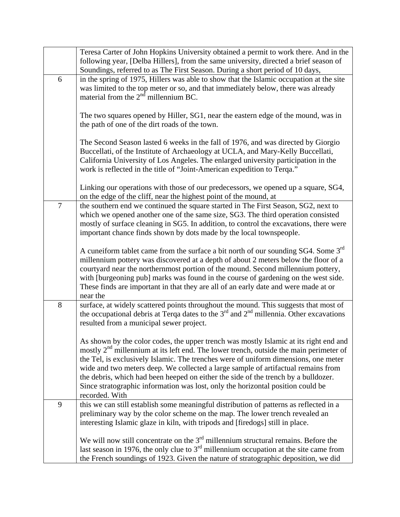|        | Teresa Carter of John Hopkins University obtained a permit to work there. And in the<br>following year, [Delba Hillers], from the same university, directed a brief season of                                                                                                                                                                                                                                                                                                                                                                                      |
|--------|--------------------------------------------------------------------------------------------------------------------------------------------------------------------------------------------------------------------------------------------------------------------------------------------------------------------------------------------------------------------------------------------------------------------------------------------------------------------------------------------------------------------------------------------------------------------|
|        | Soundings, referred to as The First Season. During a short period of 10 days,                                                                                                                                                                                                                                                                                                                                                                                                                                                                                      |
| 6      | in the spring of 1975, Hillers was able to show that the Islamic occupation at the site<br>was limited to the top meter or so, and that immediately below, there was already<br>material from the $2nd$ millennium BC.                                                                                                                                                                                                                                                                                                                                             |
|        | The two squares opened by Hiller, SG1, near the eastern edge of the mound, was in<br>the path of one of the dirt roads of the town.                                                                                                                                                                                                                                                                                                                                                                                                                                |
|        | The Second Season lasted 6 weeks in the fall of 1976, and was directed by Giorgio<br>Buccellati, of the Institute of Archaeology at UCLA, and Mary-Kelly Buccellati,<br>California University of Los Angeles. The enlarged university participation in the<br>work is reflected in the title of "Joint-American expedition to Terqa."                                                                                                                                                                                                                              |
|        | Linking our operations with those of our predecessors, we opened up a square, SG4,<br>on the edge of the cliff, near the highest point of the mound, at                                                                                                                                                                                                                                                                                                                                                                                                            |
| $\tau$ | the southern end we continued the square started in The First Season, SG2, next to<br>which we opened another one of the same size, SG3. The third operation consisted<br>mostly of surface cleaning in SG5. In addition, to control the excavations, there were<br>important chance finds shown by dots made by the local townspeople.                                                                                                                                                                                                                            |
|        | A cuneiform tablet came from the surface a bit north of our sounding SG4. Some 3rd<br>millennium pottery was discovered at a depth of about 2 meters below the floor of a<br>courtyard near the northernmost portion of the mound. Second millennium pottery,<br>with [burgeoning pub] marks was found in the course of gardening on the west side.<br>These finds are important in that they are all of an early date and were made at or<br>near the                                                                                                             |
| 8      | surface, at widely scattered points throughout the mound. This suggests that most of<br>the occupational debris at Terqa dates to the $3rd$ and $2nd$ millennia. Other excavations<br>resulted from a municipal sewer project.                                                                                                                                                                                                                                                                                                                                     |
|        | As shown by the color codes, the upper trench was mostly Islamic at its right end and<br>mostly 2 <sup>nd</sup> millennium at its left end. The lower trench, outside the main perimeter of<br>the Tel, is exclusively Islamic. The trenches were of uniform dimensions, one meter<br>wide and two meters deep. We collected a large sample of artifactual remains from<br>the debris, which had been heeped on either the side of the trench by a bulldozer.<br>Since stratographic information was lost, only the horizontal position could be<br>recorded. With |
| 9      | this we can still establish some meaningful distribution of patterns as reflected in a<br>preliminary way by the color scheme on the map. The lower trench revealed an<br>interesting Islamic glaze in kiln, with tripods and [firedogs] still in place.                                                                                                                                                                                                                                                                                                           |
|        | We will now still concentrate on the $3rd$ millennium structural remains. Before the<br>last season in 1976, the only clue to $3rd$ millennium occupation at the site came from<br>the French soundings of 1923. Given the nature of stratographic deposition, we did                                                                                                                                                                                                                                                                                              |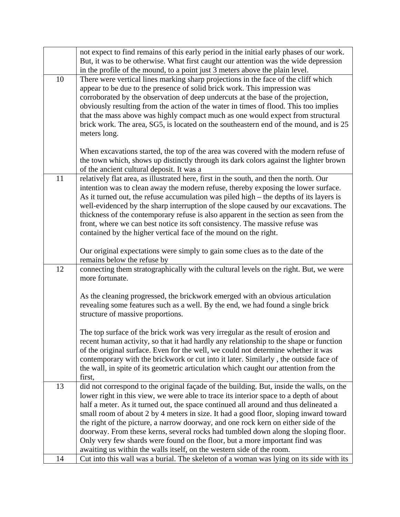|    | not expect to find remains of this early period in the initial early phases of our work.                                                                         |
|----|------------------------------------------------------------------------------------------------------------------------------------------------------------------|
|    | But, it was to be otherwise. What first caught our attention was the wide depression                                                                             |
|    | in the profile of the mound, to a point just 3 meters above the plain level.                                                                                     |
| 10 | There were vertical lines marking sharp projections in the face of the cliff which                                                                               |
|    | appear to be due to the presence of solid brick work. This impression was                                                                                        |
|    | corroborated by the observation of deep undercuts at the base of the projection,                                                                                 |
|    | obviously resulting from the action of the water in times of flood. This too implies                                                                             |
|    | that the mass above was highly compact much as one would expect from structural                                                                                  |
|    | brick work. The area, SG5, is located on the southeastern end of the mound, and is 25                                                                            |
|    | meters long.                                                                                                                                                     |
|    | When excavations started, the top of the area was covered with the modern refuse of                                                                              |
|    | the town which, shows up distinctly through its dark colors against the lighter brown                                                                            |
|    | of the ancient cultural deposit. It was a                                                                                                                        |
| 11 | relatively flat area, as illustrated here, first in the south, and then the north. Our                                                                           |
|    | intention was to clean away the modern refuse, thereby exposing the lower surface.                                                                               |
|    | As it turned out, the refuse accumulation was piled high – the depths of its layers is                                                                           |
|    | well-evidenced by the sharp interruption of the slope caused by our excavations. The                                                                             |
|    | thickness of the contemporary refuse is also apparent in the section as seen from the                                                                            |
|    | front, where we can best notice its soft consistency. The massive refuse was                                                                                     |
|    | contained by the higher vertical face of the mound on the right.                                                                                                 |
|    | Our original expectations were simply to gain some clues as to the date of the                                                                                   |
|    | remains below the refuse by                                                                                                                                      |
| 12 | connecting them stratographically with the cultural levels on the right. But, we were                                                                            |
|    | more fortunate.                                                                                                                                                  |
|    |                                                                                                                                                                  |
|    | As the cleaning progressed, the brickwork emerged with an obvious articulation                                                                                   |
|    | revealing some features such as a well. By the end, we had found a single brick                                                                                  |
|    | structure of massive proportions.                                                                                                                                |
|    | The top surface of the brick work was very irregular as the result of erosion and                                                                                |
|    | recent human activity, so that it had hardly any relationship to the shape or function                                                                           |
|    | of the original surface. Even for the well, we could not determine whether it was                                                                                |
|    | contemporary with the brickwork or cut into it later. Similarly, the outside face of                                                                             |
|    | the wall, in spite of its geometric articulation which caught our attention from the                                                                             |
|    | first,                                                                                                                                                           |
| 13 | did not correspond to the original façade of the building. But, inside the walls, on the                                                                         |
|    | lower right in this view, we were able to trace its interior space to a depth of about                                                                           |
|    | half a meter. As it turned out, the space continued all around and thus delineated a                                                                             |
|    | small room of about 2 by 4 meters in size. It had a good floor, sloping inward toward                                                                            |
|    | the right of the picture, a narrow doorway, and one rock kern on either side of the                                                                              |
|    | doorway. From these kerns, several rocks had tumbled down along the sloping floor.                                                                               |
|    | Only very few shards were found on the floor, but a more important find was                                                                                      |
| 14 | awaiting us within the walls itself, on the western side of the room.<br>Cut into this wall was a burial. The skeleton of a woman was lying on its side with its |
|    |                                                                                                                                                                  |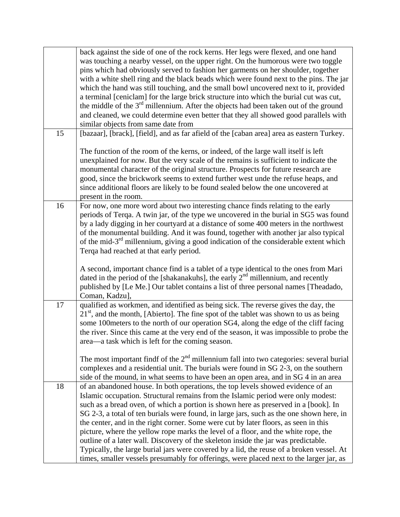|    | back against the side of one of the rock kerns. Her legs were flexed, and one hand<br>was touching a nearby vessel, on the upper right. On the humorous were two toggle<br>pins which had obviously served to fashion her garments on her shoulder, together<br>with a white shell ring and the black beads which were found next to the pins. The jar<br>which the hand was still touching, and the small bowl uncovered next to it, provided<br>a terminal [ceniclam] for the large brick structure into which the burial cut was cut,<br>the middle of the $3rd$ millennium. After the objects had been taken out of the ground<br>and cleaned, we could determine even better that they all showed good parallels with<br>similar objects from same date from                                                |
|----|------------------------------------------------------------------------------------------------------------------------------------------------------------------------------------------------------------------------------------------------------------------------------------------------------------------------------------------------------------------------------------------------------------------------------------------------------------------------------------------------------------------------------------------------------------------------------------------------------------------------------------------------------------------------------------------------------------------------------------------------------------------------------------------------------------------|
| 15 | [bazaar], [brack], [field], and as far afield of the [caban area] area as eastern Turkey.<br>The function of the room of the kerns, or indeed, of the large wall itself is left                                                                                                                                                                                                                                                                                                                                                                                                                                                                                                                                                                                                                                  |
|    | unexplained for now. But the very scale of the remains is sufficient to indicate the<br>monumental character of the original structure. Prospects for future research are<br>good, since the brickwork seems to extend further west unde the refuse heaps, and<br>since additional floors are likely to be found sealed below the one uncovered at<br>present in the room.                                                                                                                                                                                                                                                                                                                                                                                                                                       |
| 16 | For now, one more word about two interesting chance finds relating to the early<br>periods of Terqa. A twin jar, of the type we uncovered in the burial in SG5 was found<br>by a lady digging in her courtyard at a distance of some 400 meters in the northwest<br>of the monumental building. And it was found, together with another jar also typical<br>of the mid-3 <sup>rd</sup> millennium, giving a good indication of the considerable extent which<br>Terqa had reached at that early period.                                                                                                                                                                                                                                                                                                          |
|    | A second, important chance find is a tablet of a type identical to the ones from Mari<br>dated in the period of the [shakanakuhs], the early $2nd$ millennium, and recently<br>published by [Le Me.] Our tablet contains a list of three personal names [Theadado,<br>Coman, Kadzu],                                                                                                                                                                                                                                                                                                                                                                                                                                                                                                                             |
| 17 | qualified as workmen, and identified as being sick. The reverse gives the day, the<br>$21st$ , and the month, [Abierto]. The fine spot of the tablet was shown to us as being<br>some 100meters to the north of our operation SG4, along the edge of the cliff facing<br>the river. Since this came at the very end of the season, it was impossible to probe the<br>area—a task which is left for the coming season.                                                                                                                                                                                                                                                                                                                                                                                            |
|    | The most important findf of the $2nd$ millennium fall into two categories: several burial<br>complexes and a residential unit. The burials were found in SG 2-3, on the southern<br>side of the mound, in what seems to have been an open area, and in SG 4 in an area                                                                                                                                                                                                                                                                                                                                                                                                                                                                                                                                           |
| 18 | of an abandoned house. In both operations, the top levels showed evidence of an<br>Islamic occupation. Structural remains from the Islamic period were only modest:<br>such as a bread oven, of which a portion is shown here as preserved in a [book]. In<br>SG 2-3, a total of ten burials were found, in large jars, such as the one shown here, in<br>the center, and in the right corner. Some were cut by later floors, as seen in this<br>picture, where the yellow rope marks the level of a floor, and the white rope, the<br>outline of a later wall. Discovery of the skeleton inside the jar was predictable.<br>Typically, the large burial jars were covered by a lid, the reuse of a broken vessel. At<br>times, smaller vessels presumably for offerings, were placed next to the larger jar, as |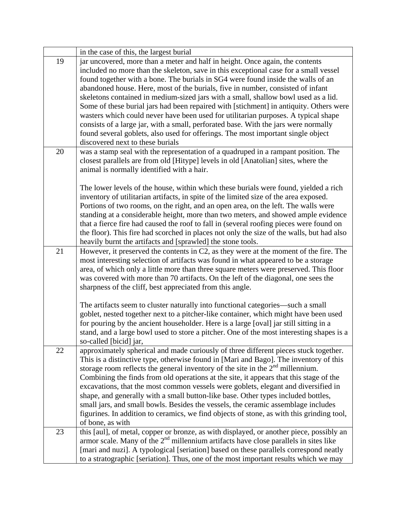|    | in the case of this, the largest burial                                                                                                                                                                                                                                                                                                                                                                                                                                                                                                                                                                                                                                                                                                                                                                                                    |
|----|--------------------------------------------------------------------------------------------------------------------------------------------------------------------------------------------------------------------------------------------------------------------------------------------------------------------------------------------------------------------------------------------------------------------------------------------------------------------------------------------------------------------------------------------------------------------------------------------------------------------------------------------------------------------------------------------------------------------------------------------------------------------------------------------------------------------------------------------|
| 19 | jar uncovered, more than a meter and half in height. Once again, the contents<br>included no more than the skeleton, save in this exceptional case for a small vessel<br>found together with a bone. The burials in SG4 were found inside the walls of an<br>abandoned house. Here, most of the burials, five in number, consisted of infant<br>skeletons contained in medium-sized jars with a small, shallow bowl used as a lid.<br>Some of these burial jars had been repaired with [stichment] in antiquity. Others were<br>wasters which could never have been used for utilitarian purposes. A typical shape<br>consists of a large jar, with a small, perforated base. With the jars were normally<br>found several goblets, also used for offerings. The most important single object<br>discovered next to these burials          |
| 20 | was a stamp seal with the representation of a quadruped in a rampant position. The<br>closest parallels are from old [Hitype] levels in old [Anatolian] sites, where the<br>animal is normally identified with a hair.<br>The lower levels of the house, within which these burials were found, yielded a rich<br>inventory of utilitarian artifacts, in spite of the limited size of the area exposed.<br>Portions of two rooms, on the right, and an open area, on the left. The walls were<br>standing at a considerable height, more than two meters, and showed ample evidence<br>that a fierce fire had caused the roof to fall in (several roofing pieces were found on<br>the floor). This fire had scorched in places not only the size of the walls, but had also<br>heavily burnt the artifacts and [sprawled] the stone tools. |
| 21 | However, it preserved the contents in C2, as they were at the moment of the fire. The<br>most interesting selection of artifacts was found in what appeared to be a storage<br>area, of which only a little more than three square meters were preserved. This floor<br>was covered with more than 70 artifacts. On the left of the diagonal, one sees the<br>sharpness of the cliff, best appreciated from this angle.<br>The artifacts seem to cluster naturally into functional categories—such a small<br>goblet, nested together next to a pitcher-like container, which might have been used<br>for pouring by the ancient householder. Here is a large [oval] jar still sitting in a<br>stand, and a large bowl used to store a pitcher. One of the most interesting shapes is a<br>so-called [bicid] jar,                          |
| 22 | approximately spherical and made curiously of three different pieces stuck together.<br>This is a distinctive type, otherwise found in [Mari and Bago]. The inventory of this<br>storage room reflects the general inventory of the site in the $2nd$ millennium.<br>Combining the finds from old operations at the site, it appears that this stage of the<br>excavations, that the most common vessels were goblets, elegant and diversified in<br>shape, and generally with a small button-like base. Other types included bottles,<br>small jars, and small bowls. Besides the vessels, the ceramic assemblage includes<br>figurines. In addition to ceramics, we find objects of stone, as with this grinding tool,<br>of bone, as with                                                                                               |
| 23 | this [aul], of metal, copper or bronze, as with displayed, or another piece, possibly an<br>armor scale. Many of the $2nd$ millennium artifacts have close parallels in sites like<br>[mari and nuzi]. A typological [seriation] based on these parallels correspond neatly<br>to a stratographic [seriation]. Thus, one of the most important results which we may                                                                                                                                                                                                                                                                                                                                                                                                                                                                        |